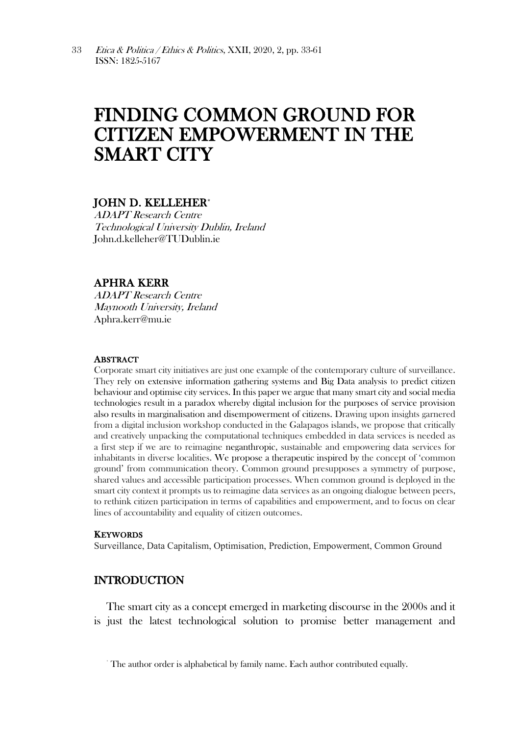# FINDING COMMON GROUND FOR CITIZEN EMPOWERMENT IN THE SMART CITY

## JOHN D. KELLEHER**\***

ADAPT Research Centre Technological University Dublin, Ireland John.d.kelleher@TUDublin.ie

## APHRA KERR

ADAPT Research Centre Maynooth University, Ireland Aphra.kerr@mu.ie

### **ABSTRACT**

Corporate smart city initiatives are just one example of the contemporary culture of surveillance. They rely on extensive information gathering systems and Big Data analysis to predict citizen behaviour and optimise city services. In this paper we argue that many smart city and social media technologies result in a paradox whereby digital inclusion for the purposes of service provision also results in marginalisation and disempowerment of citizens. Drawing upon insights garnered from a digital inclusion workshop conducted in the Galapagos islands, we propose that critically and creatively unpacking the computational techniques embedded in data services is needed as a first step if we are to reimagine neganthropic, sustainable and empowering data services for inhabitants in diverse localities. We propose a therapeutic inspired by the concept of 'common ground' from communication theory. Common ground presupposes a symmetry of purpose, shared values and accessible participation processes. When common ground is deployed in the smart city context it prompts us to reimagine data services as an ongoing dialogue between peers, to rethink citizen participation in terms of capabilities and empowerment, and to focus on clear lines of accountability and equality of citizen outcomes.

#### **KEYWORDS**

Surveillance, Data Capitalism, Optimisation, Prediction, Empowerment, Common Ground

## INTRODUCTION

The smart city as a concept emerged in marketing discourse in the 2000s and it is just the latest technological solution to promise better management and

<sup>\*</sup> The author order is alphabetical by family name. Each author contributed equally.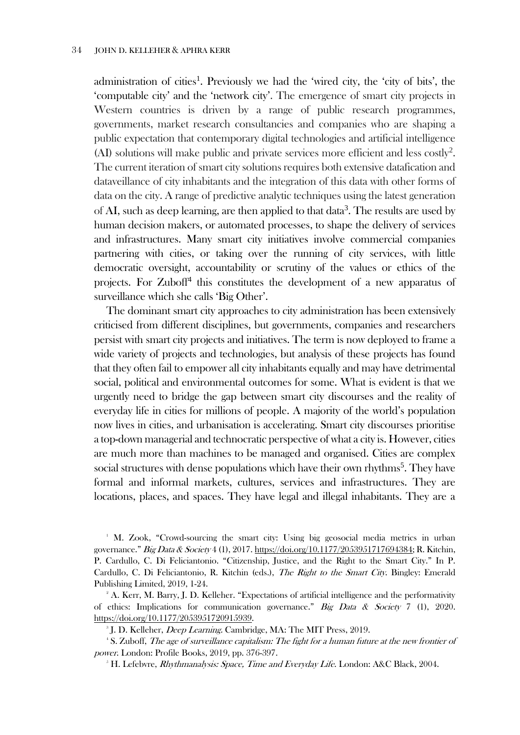administration of cities<sup>1</sup>. Previously we had the 'wired city, the 'city of bits', the 'computable city' and the 'network city'. The emergence of smart city projects in Western countries is driven by a range of public research programmes, governments, market research consultancies and companies who are shaping a public expectation that contemporary digital technologies and artificial intelligence (AI) solutions will make public and private services more efficient and less costly<sup>2</sup> . The current iteration of smart city solutions requires both extensive datafication and dataveillance of city inhabitants and the integration of this data with other forms of data on the city. A range of predictive analytic techniques using the latest generation of AI, such as deep learning, are then applied to that data<sup>3</sup>. The results are used by human decision makers, or automated processes, to shape the delivery of services and infrastructures. Many smart city initiatives involve commercial companies partnering with cities, or taking over the running of city services, with little democratic oversight, accountability or scrutiny of the values or ethics of the projects. For Zuboff<sup>4</sup> this constitutes the development of a new apparatus of surveillance which she calls 'Big Other'.

The dominant smart city approaches to city administration has been extensively criticised from different disciplines, but governments, companies and researchers persist with smart city projects and initiatives. The term is now deployed to frame a wide variety of projects and technologies, but analysis of these projects has found that they often fail to empower all city inhabitants equally and may have detrimental social, political and environmental outcomes for some. What is evident is that we urgently need to bridge the gap between smart city discourses and the reality of everyday life in cities for millions of people. A majority of the world's population now lives in cities, and urbanisation is accelerating. Smart city discourses prioritise a top-down managerial and technocratic perspective of what a city is. However, cities are much more than machines to be managed and organised. Cities are complex social structures with dense populations which have their own rhythms<sup>5</sup>. They have formal and informal markets, cultures, services and infrastructures. They are locations, places, and spaces. They have legal and illegal inhabitants. They are a

<sup>1</sup> M. Zook, "Crowd-sourcing the smart city: Using big geosocial media metrics in urban governance." Big Data & Society 4 (1), 2017[. https://doi.org/10.1177/2053951717694384;](https://doi.org/10.1177/2053951717694384) R. Kitchin, P. Cardullo, C. Di Feliciantonio. "Citizenship, Justice, and the Right to the Smart City." In P. Cardullo, C. Di Feliciantonio, R. Kitchin (eds.), The Right to the Smart City. Bingley: Emerald Publishing Limited, 2019, 1-24.

<sup>2</sup> A. Kerr, M. Barry, J. D. Kelleher. "Expectations of artificial intelligence and the performativity of ethics: Implications for communication governance." Big Data & Society 7 (1), 2020. [https://doi.org/10.1177/2053951720915939.](https://doi.org/10.1177/2053951720915939) 

<sup>&</sup>lt;sup>3</sup> J. D. Kelleher, *Deep Learning.* Cambridge, MA: The MIT Press, 2019.

<sup>4</sup> S. Zuboff, The age of surveillance capitalism: The fight for a human future at the new frontier of power. London: Profile Books, 2019, pp. 376-397.

 $5$  H. Lefebvre, *Rhythmanalysis: Space, Time and Everyday Life*. London: A&C Black, 2004.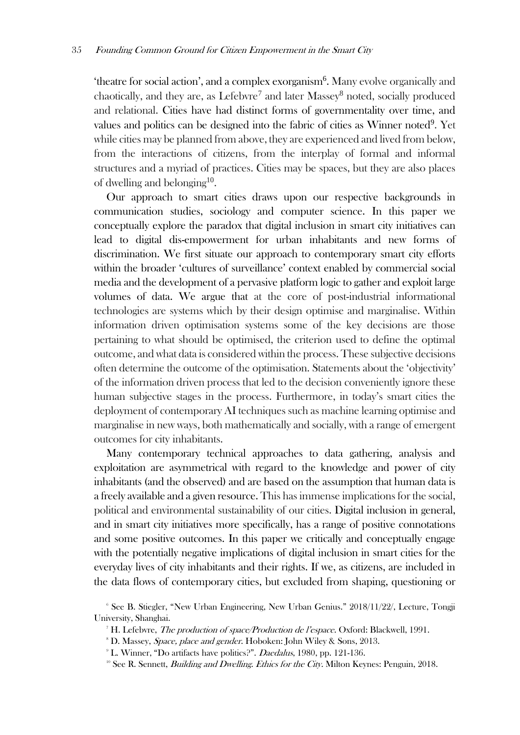'theatre for social action', and a complex exorganism<sup>6</sup>. Many evolve organically and chaotically, and they are, as Lefebvre<sup>7</sup> and later Massey<sup>8</sup> noted, socially produced and relational. Cities have had distinct forms of governmentality over time, and values and politics can be designed into the fabric of cities as Winner noted<sup>9</sup>. Yet while cities may be planned from above, they are experienced and lived from below, from the interactions of citizens, from the interplay of formal and informal structures and a myriad of practices. Cities may be spaces, but they are also places of dwelling and belonging<sup>10</sup>.

Our approach to smart cities draws upon our respective backgrounds in communication studies, sociology and computer science. In this paper we conceptually explore the paradox that digital inclusion in smart city initiatives can lead to digital dis-empowerment for urban inhabitants and new forms of discrimination. We first situate our approach to contemporary smart city efforts within the broader 'cultures of surveillance' context enabled by commercial social media and the development of a pervasive platform logic to gather and exploit large volumes of data. We argue that at the core of post-industrial informational technologies are systems which by their design optimise and marginalise. Within information driven optimisation systems some of the key decisions are those pertaining to what should be optimised, the criterion used to define the optimal outcome, and what data is considered within the process. These subjective decisions often determine the outcome of the optimisation. Statements about the 'objectivity' of the information driven process that led to the decision conveniently ignore these human subjective stages in the process. Furthermore, in today's smart cities the deployment of contemporary AI techniques such as machine learning optimise and marginalise in new ways, both mathematically and socially, with a range of emergent outcomes for city inhabitants.

Many contemporary technical approaches to data gathering, analysis and exploitation are asymmetrical with regard to the knowledge and power of city inhabitants (and the observed) and are based on the assumption that human data is a freely available and a given resource. This has immense implications for the social, political and environmental sustainability of our cities. Digital inclusion in general, and in smart city initiatives more specifically, has a range of positive connotations and some positive outcomes. In this paper we critically and conceptually engage with the potentially negative implications of digital inclusion in smart cities for the everyday lives of city inhabitants and their rights. If we, as citizens, are included in the data flows of contemporary cities, but excluded from shaping, questioning or

<sup>6</sup> See B. Stiegler, "New Urban Engineering, New Urban Genius." 2018/11/22/, Lecture, Tongji University, Shanghai.

<sup>&</sup>lt;sup>7</sup> H. Lefebvre, *The production of space/Production de l'espace*. Oxford: Blackwell, 1991.

<sup>&</sup>lt;sup>8</sup> D. Massey, *Space, place and gender*. Hoboken: John Wiley & Sons, 2013.

<sup>&</sup>lt;sup>9</sup> L. Winner, "Do artifacts have politics?". *Daedalus*, 1980, pp. 121-136.

<sup>&</sup>lt;sup>10</sup> See R. Sennett, *Building and Dwelling. Ethics for the City*. Milton Keynes: Penguin, 2018.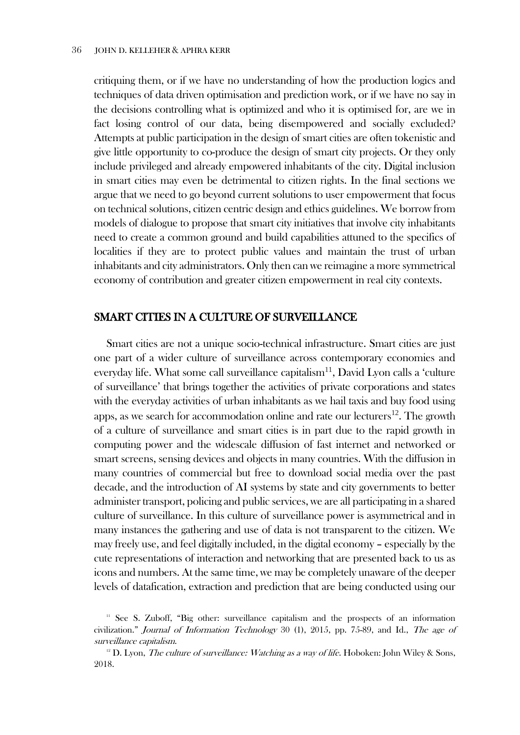critiquing them, or if we have no understanding of how the production logics and techniques of data driven optimisation and prediction work, or if we have no say in the decisions controlling what is optimized and who it is optimised for, are we in fact losing control of our data, being disempowered and socially excluded? Attempts at public participation in the design of smart cities are often tokenistic and give little opportunity to co-produce the design of smart city projects. Or they only include privileged and already empowered inhabitants of the city. Digital inclusion in smart cities may even be detrimental to citizen rights. In the final sections we argue that we need to go beyond current solutions to user empowerment that focus on technical solutions, citizen centric design and ethics guidelines. We borrow from models of dialogue to propose that smart city initiatives that involve city inhabitants need to create a common ground and build capabilities attuned to the specifics of localities if they are to protect public values and maintain the trust of urban inhabitants and city administrators. Only then can we reimagine a more symmetrical economy of contribution and greater citizen empowerment in real city contexts.

## SMART CITIES IN A CULTURE OF SURVEILLANCE

Smart cities are not a unique socio-technical infrastructure. Smart cities are just one part of a wider culture of surveillance across contemporary economies and everyday life. What some call surveillance capitalism<sup>11</sup>, David Lyon calls a 'culture of surveillance' that brings together the activities of private corporations and states with the everyday activities of urban inhabitants as we hail taxis and buy food using apps, as we search for accommodation online and rate our lecturers $^{12}$ . The growth of a culture of surveillance and smart cities is in part due to the rapid growth in computing power and the widescale diffusion of fast internet and networked or smart screens, sensing devices and objects in many countries. With the diffusion in many countries of commercial but free to download social media over the past decade, and the introduction of AI systems by state and city governments to better administer transport, policing and public services, we are all participating in a shared culture of surveillance. In this culture of surveillance power is asymmetrical and in many instances the gathering and use of data is not transparent to the citizen. We may freely use, and feel digitally included, in the digital economy – especially by the cute representations of interaction and networking that are presented back to us as icons and numbers. At the same time, we may be completely unaware of the deeper levels of datafication, extraction and prediction that are being conducted using our

<sup>&</sup>lt;sup>11</sup> See S. Zuboff, "Big other: surveillance capitalism and the prospects of an information civilization." Journal of Information Technology 30 (1), 2015, pp. 75-89, and Id., The age of surveillance capitalism.

<sup>&</sup>lt;sup>12</sup> D. Lyon, *The culture of surveillance: Watching as a way of life*. Hoboken: John Wiley & Sons, 2018.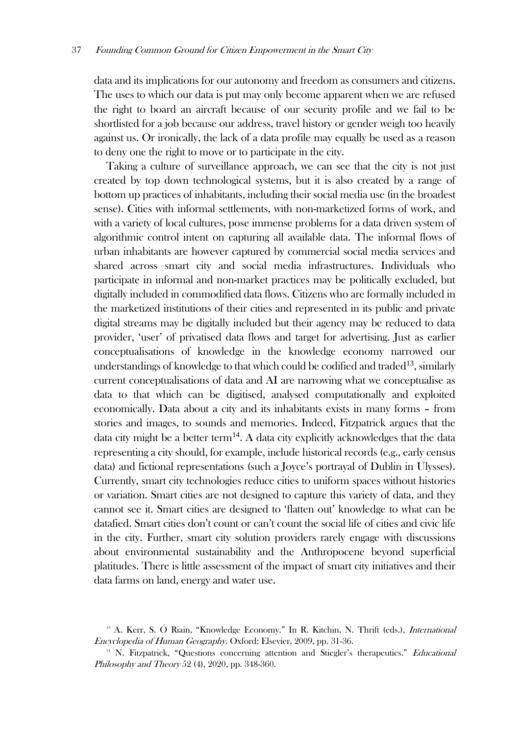data and its implications for our autonomy and freedom as consumers and citizens. The uses to which our data is put may only become apparent when we are refused the right to board an aircraft because of our security profile and we fail to be shortlisted for a job because our address, travel history or gender weigh too heavily against us. Or ironically, the lack of a data profile may equally be used as a reason to deny one the right to move or to participate in the city.

Taking a culture of surveillance approach, we can see that the city is not just created by top down technological systems, but it is also created by a range of bottom up practices of inhabitants, including their social media use (in the broadest sense). Cities with informal settlements, with non-marketized forms of work, and with a variety of local cultures, pose immense problems for a data driven system of algorithmic control intent on capturing all available data. The informal flows of urban inhabitants are however captured by commercial social media services and shared across smart city and social media infrastructures. Individuals who participate in informal and non-market practices may be politically excluded, but digitally included in commodified data flows. Citizens who are formally included in the marketized institutions of their cities and represented in its public and private digital streams may be digitally included but their agency may be reduced to data provider, 'user' of privatised data flows and target for advertising. Just as earlier conceptualisations of knowledge in the knowledge economy narrowed our understandings of knowledge to that which could be codified and traded<sup>13</sup>, similarly current conceptualisations of data and AI are narrowing what we conceptualise as data to that which can be digitised, analysed computationally and exploited economically. Data about a city and its inhabitants exists in many forms – from stories and images, to sounds and memories. Indeed, Fitzpatrick argues that the data city might be a better term<sup>14</sup>. A data city explicitly acknowledges that the data representing a city should, for example, include historical records (e.g., early census data) and fictional representations (such a Joyce's portrayal of Dublin in Ulysses). Currently, smart city technologies reduce cities to uniform spaces without histories or variation. Smart cities are not designed to capture this variety of data, and they cannot see it. Smart cities are designed to 'flatten out' knowledge to what can be datafied. Smart cities don't count or can't count the social life of cities and civic life in the city. Further, smart city solution providers rarely engage with discussions about environmental sustainability and the Anthropocene beyond superficial platitudes. There is little assessment of the impact of smart city initiatives and their data farms on land, energy and water use.

 $13$  A. Kerr, S. Ó Riain, "Knowledge Economy." In R. Kitchin, N. Thrift (eds.), *International* Encyclopedia of Human Geography. Oxford: Elsevier, 2009, pp. 31-36.

<sup>&</sup>lt;sup>14</sup> N. Fitzpatrick, "Questions concerning attention and Stiegler's therapeutics." *Educational* Philosophy and Theory 52 (4), 2020, pp. 348-360.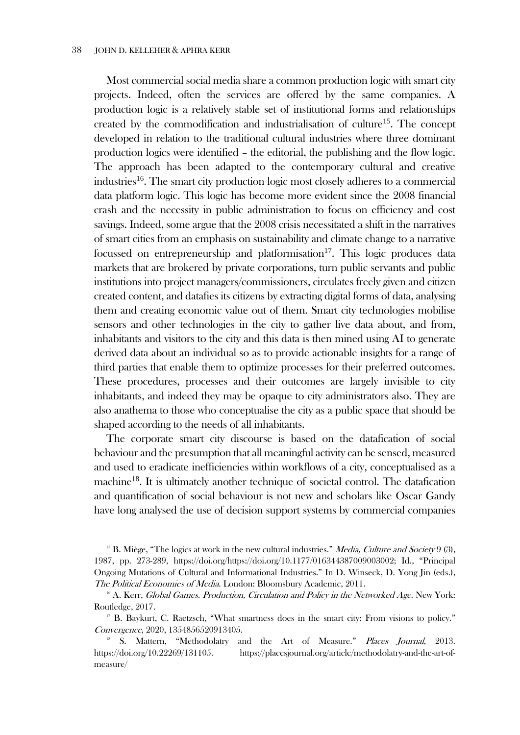Most commercial social media share a common production logic with smart city projects. Indeed, often the services are offered by the same companies. A production logic is a relatively stable set of institutional forms and relationships created by the commodification and industrialisation of culture<sup>15</sup>. The concept developed in relation to the traditional cultural industries where three dominant production logics were identified – the editorial, the publishing and the flow logic. The approach has been adapted to the contemporary cultural and creative industries<sup>16</sup>. The smart city production logic most closely adheres to a commercial data platform logic. This logic has become more evident since the 2008 financial crash and the necessity in public administration to focus on efficiency and cost savings. Indeed, some argue that the 2008 crisis necessitated a shift in the narratives of smart cities from an emphasis on sustainability and climate change to a narrative focussed on entrepreneurship and platformisation<sup>17</sup>. This logic produces data markets that are brokered by private corporations, turn public servants and public institutions into project managers/commissioners, circulates freely given and citizen created content, and datafies its citizens by extracting digital forms of data, analysing them and creating economic value out of them. Smart city technologies mobilise sensors and other technologies in the city to gather live data about, and from, inhabitants and visitors to the city and this data is then mined using AI to generate derived data about an individual so as to provide actionable insights for a range of third parties that enable them to optimize processes for their preferred outcomes. These procedures, processes and their outcomes are largely invisible to city inhabitants, and indeed they may be opaque to city administrators also. They are also anathema to those who conceptualise the city as a public space that should be shaped according to the needs of all inhabitants.

The corporate smart city discourse is based on the datafication of social behaviour and the presumption that all meaningful activity can be sensed, measured and used to eradicate inefficiencies within workflows of a city, conceptualised as a machine<sup>18</sup>. It is ultimately another technique of societal control. The datafication and quantification of social behaviour is not new and scholars like Oscar Gandy have long analysed the use of decision support systems by commercial companies

<sup>&</sup>lt;sup>15</sup> B. Miège, "The logics at work in the new cultural industries." *Media, Culture and Society* 9 (3), 1987, pp. 273-289, https://doi.org/https://doi.org/10.1177/016344387009003002; Id., "Principal Ongoing Mutations of Cultural and Informational Industries." In D. Winseck, D. Yong Jin (eds.), The Political Economies of Media. London: Bloomsbury Academic, 2011.

 $16$  A. Kerr, Global Games. Production, Circulation and Policy in the Networked Age. New York: Routledge, 2017.

<sup>&</sup>lt;sup>17</sup> B. Baykurt, C. Raetzsch, "What smartness does in the smart city: From visions to policy." Convergence, 2020, 1354856520913405.

<sup>&</sup>lt;sup>18</sup> S. Mattern, "Methodolatry and the Art of Measure." Places Journal, 2013. https://doi.org/10.22269/131105. https://placesjournal.org/article/methodolatry-and-the-art-ofmeasure/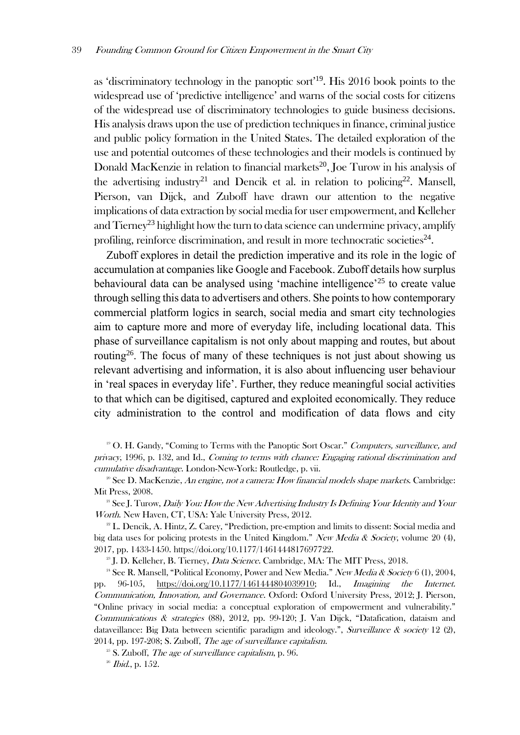as 'discriminatory technology in the panoptic sort'<sup>19</sup>. His 2016 book points to the widespread use of 'predictive intelligence' and warns of the social costs for citizens of the widespread use of discriminatory technologies to guide business decisions. His analysis draws upon the use of prediction techniques in finance, criminal justice and public policy formation in the United States. The detailed exploration of the use and potential outcomes of these technologies and their models is continued by Donald MacKenzie in relation to financial markets<sup>20</sup>, Joe Turow in his analysis of the advertising industry<sup>21</sup> and Dencik et al. in relation to policing<sup>22</sup>. Mansell, Pierson, van Dijck, and Zuboff have drawn our attention to the negative implications of data extraction by social media for user empowerment, and Kelleher and  $T$ ierney<sup>23</sup> highlight how the turn to data science can undermine privacy, amplify profiling, reinforce discrimination, and result in more technocratic societies<sup>24</sup>.

Zuboff explores in detail the prediction imperative and its role in the logic of accumulation at companies like Google and Facebook. Zuboff details how surplus behavioural data can be analysed using 'machine intelligence'<sup>25</sup> to create value through selling this data to advertisers and others. She points to how contemporary commercial platform logics in search, social media and smart city technologies aim to capture more and more of everyday life, including locational data. This phase of surveillance capitalism is not only about mapping and routes, but about routing<sup>26</sup>. The focus of many of these techniques is not just about showing us relevant advertising and information, it is also about influencing user behaviour in 'real spaces in everyday life'. Further, they reduce meaningful social activities to that which can be digitised, captured and exploited economically. They reduce city administration to the control and modification of data flows and city

<sup>19</sup> O. H. Gandy, "Coming to Terms with the Panoptic Sort Oscar." *Computers, surveillance, and* privacy, 1996, p. 132, and Id., Coming to terms with chance: Engaging rational discrimination and cumulative disadvantage. London-New-York: Routledge, p. vii.

<sup>20</sup> See D. MacKenzie, An engine, not a camera: How financial models shape markets. Cambridge: Mit Press, 2008.

 $21$  See J. Turow, Daily You: How the New Advertising Industry Is Defining Your Identity and Your Worth. New Haven, CT, USA: Yale University Press, 2012.

<sup>22</sup> L. Dencik, A. Hintz, Z. Carey, "Prediction, pre-emption and limits to dissent: Social media and big data uses for policing protests in the United Kingdom." New Media & Society, volume 20 (4), 2017, pp. 1433-1450. https://doi.org/10.1177/1461444817697722.

<sup>23</sup> J. D. Kelleher, B. Tierney, *Data Science*, Cambridge, MA: The MIT Press, 2018.

<sup>24</sup> See R. Mansell, "Political Economy, Power and New Media." New Media & Society 6 (1), 2004, pp. 96-105, [https://doi.org/10.1177/1461444804039910;](https://doi.org/10.1177/1461444804039910) Id., Imagining the Internet. Communication, Innovation, and Governance. Oxford: Oxford University Press, 2012; J. Pierson, "Online privacy in social media: a conceptual exploration of empowerment and vulnerability." Communications & strategies (88), 2012, pp. 99-120; J. Van Dijck, "Datafication, dataism and dataveillance: Big Data between scientific paradigm and ideology.", Surveillance & society 12 (2), 2014, pp. 197-208; S. Zuboff, The age of surveillance capitalism.

 $25$  S. Zuboff, *The age of surveillance capitalism*, p. 96.

 $26$  *Ibid.*, p. 152.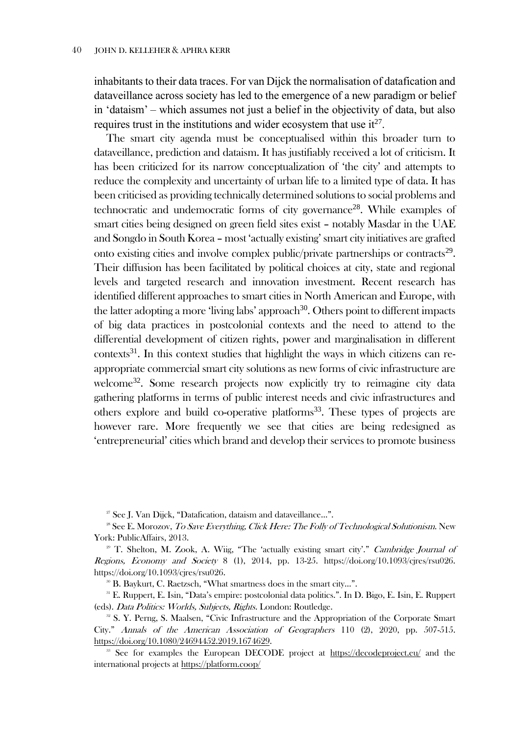inhabitants to their data traces. For van Dijck the normalisation of datafication and dataveillance across society has led to the emergence of a new paradigm or belief in 'dataism' – which assumes not just a belief in the objectivity of data, but also requires trust in the institutions and wider ecosystem that use  $it^{27}$ .

The smart city agenda must be conceptualised within this broader turn to dataveillance, prediction and dataism. It has justifiably received a lot of criticism. It has been criticized for its narrow conceptualization of 'the city' and attempts to reduce the complexity and uncertainty of urban life to a limited type of data. It has been criticised as providing technically determined solutions to social problems and technocratic and undemocratic forms of city governance<sup>28</sup>. While examples of smart cities being designed on green field sites exist – notably Masdar in the UAE and Songdo in South Korea – most 'actually existing' smart city initiatives are grafted onto existing cities and involve complex public/private partnerships or contracts<sup>29</sup>. Their diffusion has been facilitated by political choices at city, state and regional levels and targeted research and innovation investment. Recent research has identified different approaches to smart cities in North American and Europe, with the latter adopting a more 'living labs' approach<sup>30</sup>. Others point to different impacts of big data practices in postcolonial contexts and the need to attend to the differential development of citizen rights, power and marginalisation in different contexts $31$ . In this context studies that highlight the ways in which citizens can reappropriate commercial smart city solutions as new forms of civic infrastructure are welcome<sup>32</sup>. Some research projects now explicitly try to reimagine city data gathering platforms in terms of public interest needs and civic infrastructures and others explore and build co-operative platforms<sup>33</sup>. These types of projects are however rare. More frequently we see that cities are being redesigned as 'entrepreneurial' cities which brand and develop their services to promote business

<sup>27</sup> See J. Van Dijck, "Datafication, dataism and dataveillance...".

<sup>28</sup> See E. Morozov, *To Save Everything, Click Here: The Folly of Technological Solutionism*. New York: PublicAffairs, 2013.

 $29$  T. Shelton, M. Zook, A. Wiig, "The 'actually existing smart city'." Cambridge Journal of Regions, Economy and Society 8 (1), 2014, pp. 13-25. https://doi.org/10.1093/cjres/rsu026. https://doi.org/10.1093/cjres/rsu026.

<sup>30</sup> B. Baykurt, C. Raetzsch, "What smartness does in the smart city...".

<sup>31</sup> E. Ruppert, E. Isin, "Data's empire: postcolonial data politics.". In D. Bigo, E. Isin, E. Ruppert (eds). Data Politics: Worlds, Subjects, Rights. London: Routledge.

<sup>32</sup> S. Y. Perng, S. Maalsen, "Civic Infrastructure and the Appropriation of the Corporate Smart City." Annals of the American Association of Geographers 110 (2), 2020, pp. 507-515. [https://doi.org/10.1080/24694452.2019.1674629.](https://doi.org/10.1080/24694452.2019.1674629)

<sup>33</sup> See for examples the European DECODE project at <https://decodeproject.eu/> and the international projects at<https://platform.coop/>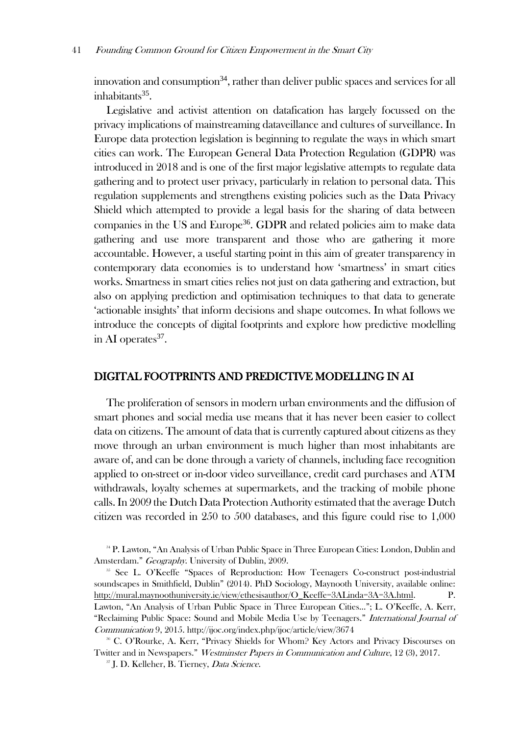innovation and consumption<sup>34</sup>, rather than deliver public spaces and services for all inhabitants<sup>35</sup>.

Legislative and activist attention on datafication has largely focussed on the privacy implications of mainstreaming dataveillance and cultures of surveillance. In Europe data protection legislation is beginning to regulate the ways in which smart cities can work. The European General Data Protection Regulation (GDPR) was introduced in 2018 and is one of the first major legislative attempts to regulate data gathering and to protect user privacy, particularly in relation to personal data. This regulation supplements and strengthens existing policies such as the Data Privacy Shield which attempted to provide a legal basis for the sharing of data between companies in the US and Europe<sup>36</sup>. GDPR and related policies aim to make data gathering and use more transparent and those who are gathering it more accountable. However, a useful starting point in this aim of greater transparency in contemporary data economies is to understand how 'smartness' in smart cities works. Smartness in smart cities relies not just on data gathering and extraction, but also on applying prediction and optimisation techniques to that data to generate 'actionable insights' that inform decisions and shape outcomes. In what follows we introduce the concepts of digital footprints and explore how predictive modelling in AI operates $37$ .

## DIGITAL FOOTPRINTS AND PREDICTIVE MODELLING IN AI

The proliferation of sensors in modern urban environments and the diffusion of smart phones and social media use means that it has never been easier to collect data on citizens. The amount of data that is currently captured about citizens as they move through an urban environment is much higher than most inhabitants are aware of, and can be done through a variety of channels, including face recognition applied to on-street or in-door video surveillance, credit card purchases and ATM withdrawals, loyalty schemes at supermarkets, and the tracking of mobile phone calls. In 2009 the Dutch Data Protection Authority estimated that the average Dutch citizen was recorded in 250 to 500 databases, and this figure could rise to 1,000

<sup>37</sup> J. D. Kelleher, B. Tierney, *Data Science*.

<sup>&</sup>lt;sup>34</sup> P. Lawton, "An Analysis of Urban Public Space in Three European Cities: London, Dublin and Amsterdam." Geography. University of Dublin, 2009.

<sup>&</sup>lt;sup>35</sup> See L. O'Keeffe "Spaces of Reproduction: How Teenagers Co-construct post-industrial soundscapes in Smithfield, Dublin" (2014). PhD Sociology, Maynooth University, available online: [http://mural.maynoothuniversity.ie/view/ethesisauthor/O\\_Keeffe=3ALinda=3A=3A.html.](http://mural.maynoothuniversity.ie/view/ethesisauthor/O_Keeffe=3ALinda=3A=3A.html) P. Lawton, "An Analysis of Urban Public Space in Three European Cities…"; L. O'Keeffe, A. Kerr, "Reclaiming Public Space: Sound and Mobile Media Use by Teenagers." International Journal of Communication 9, 2015. http://ijoc.org/index.php/ijoc/article/view/3674

<sup>36</sup> C. O'Rourke, A. Kerr, "Privacy Shields for Whom? Key Actors and Privacy Discourses on Twitter and in Newspapers." Westminster Papers in Communication and Culture, 12 (3), 2017.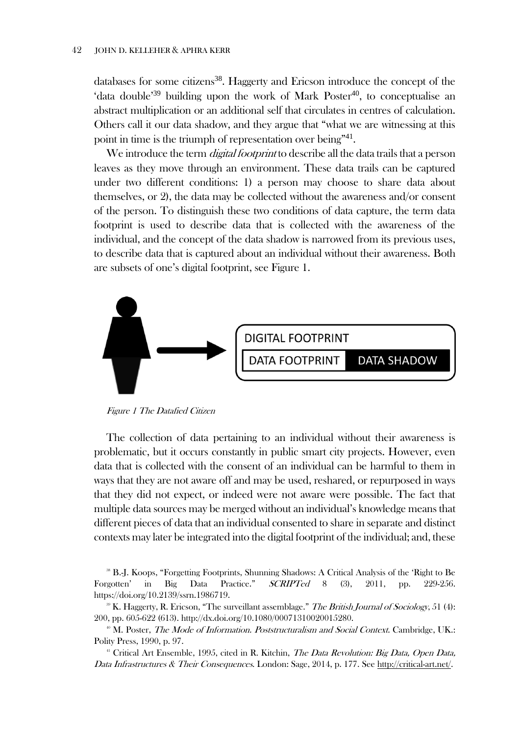#### 42 JOHN D. KELLEHER & APHRA KERR

databases for some citizens<sup>38</sup>. Haggerty and Ericson introduce the concept of the 'data double'<sup>39</sup> building upon the work of Mark Poster<sup>40</sup>, to conceptualise an abstract multiplication or an additional self that circulates in centres of calculation. Others call it our data shadow, and they argue that "what we are witnessing at this point in time is the triumph of representation over being"<sup>41</sup>.

We introduce the term *digital footprint* to describe all the data trails that a person leaves as they move through an environment. These data trails can be captured under two different conditions: 1) a person may choose to share data about themselves, or 2), the data may be collected without the awareness and/or consent of the person. To distinguish these two conditions of data capture, the term data footprint is used to describe data that is collected with the awareness of the individual, and the concept of the data shadow is narrowed from its previous uses, to describe data that is captured about an individual without their awareness. Both are subsets of one's digital footprint, see [Figure 1.](#page-9-0)



Figure 1 The Datafied Citizen

<span id="page-9-0"></span>The collection of data pertaining to an individual without their awareness is problematic, but it occurs constantly in public smart city projects. However, even data that is collected with the consent of an individual can be harmful to them in ways that they are not aware off and may be used, reshared, or repurposed in ways that they did not expect, or indeed were not aware were possible. The fact that multiple data sources may be merged without an individual's knowledge means that different pieces of data that an individual consented to share in separate and distinct contexts may later be integrated into the digital footprint of the individual; and, these

<sup>38</sup> B.-J. Koops, "Forgetting Footprints, Shunning Shadows: A Critical Analysis of the 'Right to Be Forgotten' in Big Data Practice." SCRIPTed 8 (3), 2011, pp. 229-256. https://doi.org/10.2139/ssrn.1986719.

<sup>39</sup> K. Haggerty, R. Ericson, "The surveillant assemblage." The British Journal of Sociology, 51 (4): 200, pp. 605-622 (613). http://dx.doi.org/10.1080/00071310020015280.

<sup>40</sup> M. Poster, *The Mode of Information. Poststructuralism and Social Context*. Cambridge, UK.: Polity Press, 1990, p. 97.

<sup>41</sup> Critical Art Ensemble, 1995, cited in R. Kitchin, *The Data Revolution: Big Data, Open Data,* Data Infrastructures & Their Consequences. London: Sage, 2014, p. 177. See [http://critical-art.net/.](http://critical-art.net/)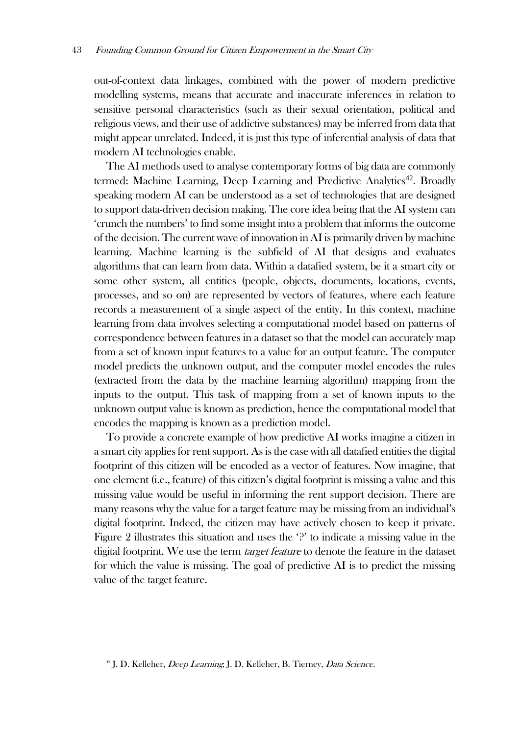out-of-context data linkages, combined with the power of modern predictive modelling systems, means that accurate and inaccurate inferences in relation to sensitive personal characteristics (such as their sexual orientation, political and religious views, and their use of addictive substances) may be inferred from data that might appear unrelated. Indeed, it is just this type of inferential analysis of data that modern AI technologies enable.

The AI methods used to analyse contemporary forms of big data are commonly termed: Machine Learning, Deep Learning and Predictive Analytics<sup>42</sup>. Broadly speaking modern AI can be understood as a set of technologies that are designed to support data-driven decision making. The core idea being that the AI system can 'crunch the numbers' to find some insight into a problem that informs the outcome of the decision. The current wave of innovation in AI is primarily driven by machine learning. Machine learning is the subfield of AI that designs and evaluates algorithms that can learn from data. Within a datafied system, be it a smart city or some other system, all entities (people, objects, documents, locations, events, processes, and so on) are represented by vectors of features, where each feature records a measurement of a single aspect of the entity. In this context, machine learning from data involves selecting a computational model based on patterns of correspondence between features in a dataset so that the model can accurately map from a set of known input features to a value for an output feature. The computer model predicts the unknown output, and the computer model encodes the rules (extracted from the data by the machine learning algorithm) mapping from the inputs to the output. This task of mapping from a set of known inputs to the unknown output value is known as prediction, hence the computational model that encodes the mapping is known as a prediction model.

To provide a concrete example of how predictive AI works imagine a citizen in a smart city applies for rent support. As is the case with all datafied entities the digital footprint of this citizen will be encoded as a vector of features. Now imagine, that one element (i.e., feature) of this citizen's digital footprint is missing a value and this missing value would be useful in informing the rent support decision. There are many reasons why the value for a target feature may be missing from an individual's digital footprint. Indeed, the citizen may have actively chosen to keep it private. [Figure 2](#page-11-0) illustrates this situation and uses the '?' to indicate a missing value in the digital footprint. We use the term *target feature* to denote the feature in the dataset for which the value is missing. The goal of predictive AI is to predict the missing value of the target feature.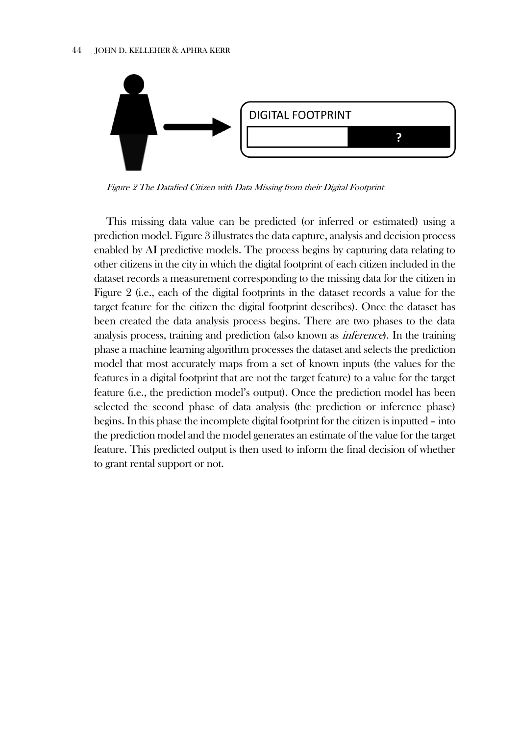

<span id="page-11-0"></span>Figure 2 The Datafied Citizen with Data Missing from their Digital Footprint

This missing data value can be predicted (or inferred or estimated) using a prediction model. [Figure 3](#page-12-0) illustrates the data capture, analysis and decision process enabled by AI predictive models. The process begins by capturing data relating to other citizens in the city in which the digital footprint of each citizen included in the dataset records a measurement corresponding to the missing data for the citizen in [Figure 2](#page-11-0) (i.e., each of the digital footprints in the dataset records a value for the target feature for the citizen the digital footprint describes). Once the dataset has been created the data analysis process begins. There are two phases to the data analysis process, training and prediction (also known as inference). In the training phase a machine learning algorithm processes the dataset and selects the prediction model that most accurately maps from a set of known inputs (the values for the features in a digital footprint that are not the target feature) to a value for the target feature (i.e., the prediction model's output). Once the prediction model has been selected the second phase of data analysis (the prediction or inference phase) begins. In this phase the incomplete digital footprint for the citizen is inputted – into the prediction model and the model generates an estimate of the value for the target feature. This predicted output is then used to inform the final decision of whether to grant rental support or not.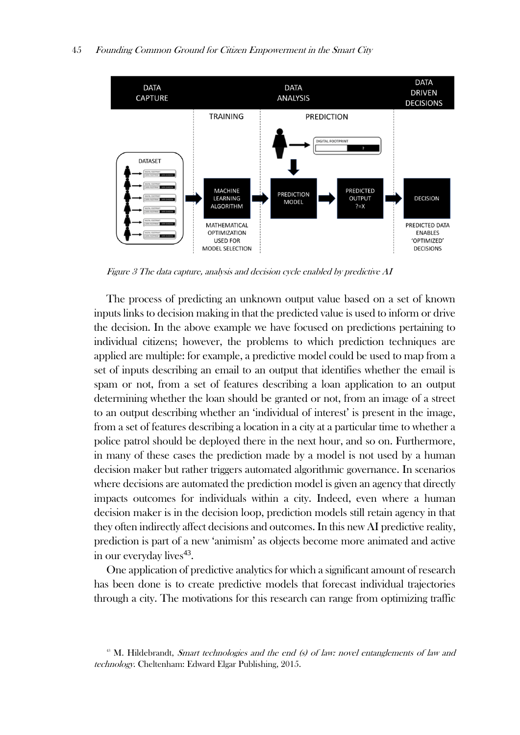

Figure  $3$  The data capture, analysis and decision cycle enabled by predictive  $AI$ 

<span id="page-12-0"></span>The process of predicting an unknown output value based on a set of known inputs links to decision making in that the predicted value is used to inform or drive the decision. In the above example we have focused on predictions pertaining to individual citizens; however, the problems to which prediction techniques are applied are multiple: for example, a predictive model could be used to map from a set of inputs describing an email to an output that identifies whether the email is spam or not, from a set of features describing a loan application to an output determining whether the loan should be granted or not, from an image of a street to an output describing whether an 'individual of interest' is present in the image, from a set of features describing a location in a city at a particular time to whether a police patrol should be deployed there in the next hour, and so on. Furthermore, in many of these cases the prediction made by a model is not used by a human decision maker but rather triggers automated algorithmic governance. In scenarios where decisions are automated the prediction model is given an agency that directly impacts outcomes for individuals within a city. Indeed, even where a human decision maker is in the decision loop, prediction models still retain agency in that they often indirectly affect decisions and outcomes. In this new AI predictive reality, prediction is part of a new 'animism' as objects become more animated and active in our everyday lives<sup>43</sup>.

One application of predictive analytics for which a significant amount of research has been done is to create predictive models that forecast individual trajectories through a city. The motivations for this research can range from optimizing traffic

 $43$  M. Hildebrandt, *Smart technologies and the end (s) of law: novel entanglements of law and* technology. Cheltenham: Edward Elgar Publishing, 2015.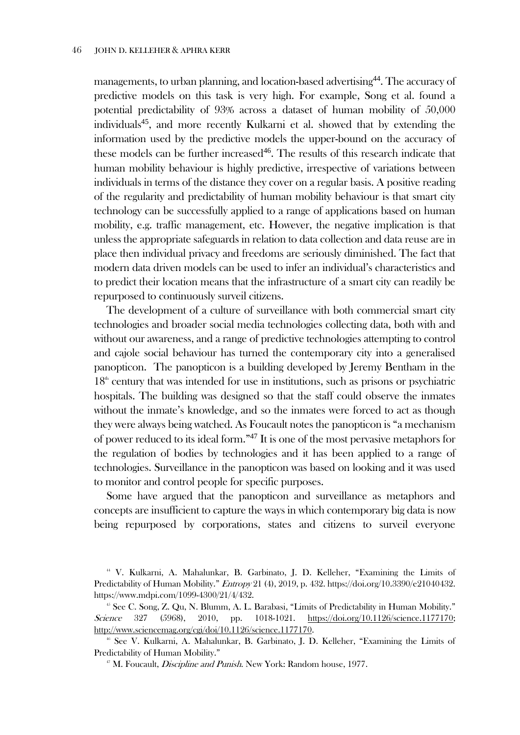managements, to urban planning, and location-based advertising<sup>44</sup>. The accuracy of predictive models on this task is very high. For example, Song et al. found a potential predictability of 93% across a dataset of human mobility of 50,000 individuals<sup>45</sup>, and more recently Kulkarni et al. showed that by extending the information used by the predictive models the upper-bound on the accuracy of these models can be further increased<sup>46</sup>. The results of this research indicate that human mobility behaviour is highly predictive, irrespective of variations between individuals in terms of the distance they cover on a regular basis. A positive reading of the regularity and predictability of human mobility behaviour is that smart city technology can be successfully applied to a range of applications based on human mobility, e.g. traffic management, etc. However, the negative implication is that unless the appropriate safeguards in relation to data collection and data reuse are in place then individual privacy and freedoms are seriously diminished. The fact that modern data driven models can be used to infer an individual's characteristics and to predict their location means that the infrastructure of a smart city can readily be repurposed to continuously surveil citizens.

The development of a culture of surveillance with both commercial smart city technologies and broader social media technologies collecting data, both with and without our awareness, and a range of predictive technologies attempting to control and cajole social behaviour has turned the contemporary city into a generalised panopticon. The panopticon is a building developed by Jeremy Bentham in the  $18<sup>th</sup>$  century that was intended for use in institutions, such as prisons or psychiatric hospitals. The building was designed so that the staff could observe the inmates without the inmate's knowledge, and so the inmates were forced to act as though they were always being watched. As Foucault notes the panopticon is "a mechanism of power reduced to its ideal form."<sup>47</sup> It is one of the most pervasive metaphors for the regulation of bodies by technologies and it has been applied to a range of technologies. Surveillance in the panopticon was based on looking and it was used to monitor and control people for specific purposes.

Some have argued that the panopticon and surveillance as metaphors and concepts are insufficient to capture the ways in which contemporary big data is now being repurposed by corporations, states and citizens to surveil everyone

<sup>44</sup> V. Kulkarni, A. Mahalunkar, B. Garbinato, J. D. Kelleher, "Examining the Limits of Predictability of Human Mobility." Entropy 21 (4), 2019, p. 432. https://doi.org/10.3390/e21040432. https://www.mdpi.com/1099-4300/21/4/432.

 $45$  See C. Song, Z. Qu, N. Blumm, A. L. Barabasi, "Limits of Predictability in Human Mobility." Science 327 (5968), 2010, pp. 1018-1021. [https://doi.org/10.1126/science.1177170;](https://doi.org/10.1126/science.1177170) [http://www.sciencemag.org/cgi/doi/10.1126/science.1177170.](http://www.sciencemag.org/cgi/doi/10.1126/science.1177170)

<sup>46</sup> See V. Kulkarni, A. Mahalunkar, B. Garbinato, J. D. Kelleher, "Examining the Limits of Predictability of Human Mobility."

<sup>&</sup>lt;sup>47</sup> M. Foucault, *Discipline and Punish*. New York: Random house, 1977.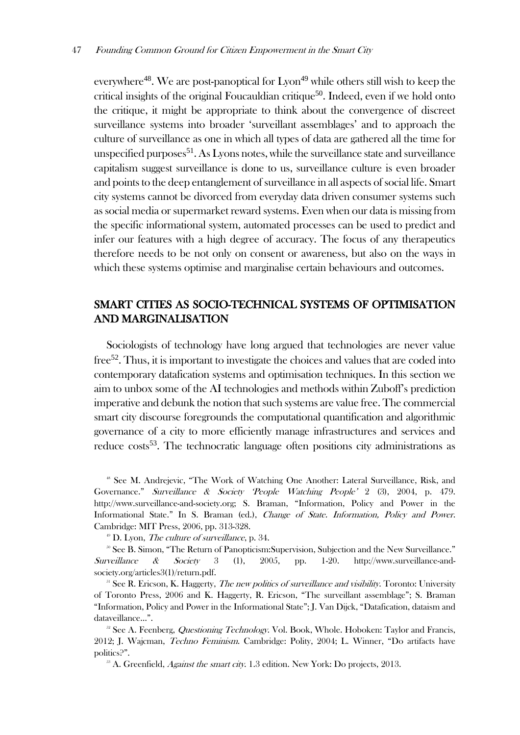everywhere<sup>48</sup>. We are post-panoptical for  $Lyon<sup>49</sup>$  while others still wish to keep the critical insights of the original Foucauldian critique<sup>50</sup>. Indeed, even if we hold onto the critique, it might be appropriate to think about the convergence of discreet surveillance systems into broader 'surveillant assemblages' and to approach the culture of surveillance as one in which all types of data are gathered all the time for unspecified purposes<sup>51</sup>. As Lyons notes, while the surveillance state and surveillance capitalism suggest surveillance is done to us, surveillance culture is even broader and points to the deep entanglement of surveillance in all aspects of social life. Smart city systems cannot be divorced from everyday data driven consumer systems such as social media or supermarket reward systems. Even when our data is missing from the specific informational system, automated processes can be used to predict and infer our features with a high degree of accuracy. The focus of any therapeutics therefore needs to be not only on consent or awareness, but also on the ways in which these systems optimise and marginalise certain behaviours and outcomes.

# SMART CITIES AS SOCIO-TECHNICAL SYSTEMS OF OPTIMISATION AND MARGINALISATION

Sociologists of technology have long argued that technologies are never value free<sup>52</sup>. Thus, it is important to investigate the choices and values that are coded into contemporary datafication systems and optimisation techniques. In this section we aim to unbox some of the AI technologies and methods within Zuboff's prediction imperative and debunk the notion that such systems are value free. The commercial smart city discourse foregrounds the computational quantification and algorithmic governance of a city to more efficiently manage infrastructures and services and reduce costs<sup>53</sup>. The technocratic language often positions city administrations as

<sup>48</sup> See M. Andrejevic, "The Work of Watching One Another: Lateral Surveillance, Risk, and Governance." Surveillance & Society 'People Watching People' 2 (3), 2004, p. 479. http://www.surveillance-and-society.org; S. Braman, "Information, Policy and Power in the Informational State." In S. Braman (ed.), Change of State. Information, Policy and Power. Cambridge: MIT Press, 2006, pp. 313-328.

 $49$  D. Lyon, *The culture of surveillance*, p. 34.

<sup>50</sup> See B. Simon, "The Return of Panopticism: Supervision, Subjection and the New Surveillance." Surveillance & Society 3 (1), 2005, pp. 1-20. http://www.surveillance-andsociety.org/articles3(1)/return.pdf.

<sup>51</sup> See R. Ericson, K. Haggerty, *The new politics of surveillance and visibility*. Toronto: University of Toronto Press, 2006 and K. Haggerty, R. Ericson, "The surveillant assemblage"; S. Braman "Information, Policy and Power in the Informational State"; J. Van Dijck, "Datafication, dataism and dataveillance…".

<sup>52</sup> See A. Feenberg, *Questioning Technology*. Vol. Book, Whole. Hoboken: Taylor and Francis, 2012; J. Wajcman, Techno Feminism. Cambridge: Polity, 2004; L. Winner, "Do artifacts have politics?".

 $^{53}$  A. Greenfield, *Against the smart city*. 1.3 edition. New York: Do projects, 2013.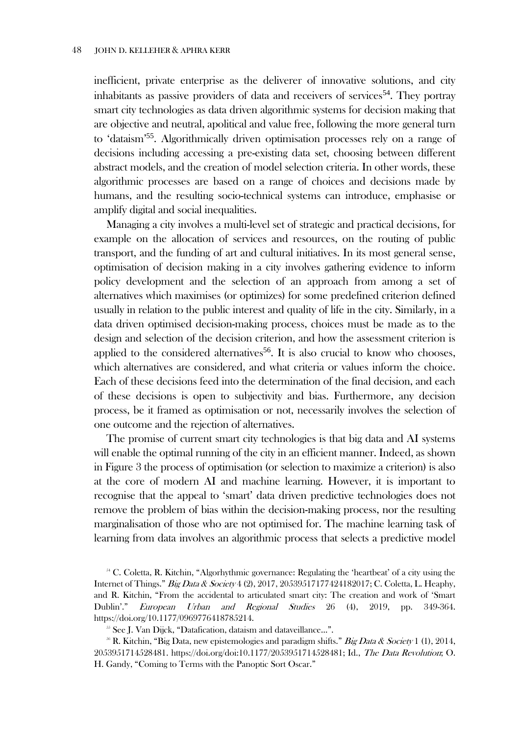inefficient, private enterprise as the deliverer of innovative solutions, and city inhabitants as passive providers of data and receivers of services<sup>54</sup>. They portray smart city technologies as data driven algorithmic systems for decision making that are objective and neutral, apolitical and value free, following the more general turn to 'dataism'<sup>55</sup>. Algorithmically driven optimisation processes rely on a range of decisions including accessing a pre-existing data set, choosing between different abstract models, and the creation of model selection criteria. In other words, these algorithmic processes are based on a range of choices and decisions made by humans, and the resulting socio-technical systems can introduce, emphasise or amplify digital and social inequalities.

Managing a city involves a multi-level set of strategic and practical decisions, for example on the allocation of services and resources, on the routing of public transport, and the funding of art and cultural initiatives. In its most general sense, optimisation of decision making in a city involves gathering evidence to inform policy development and the selection of an approach from among a set of alternatives which maximises (or optimizes) for some predefined criterion defined usually in relation to the public interest and quality of life in the city. Similarly, in a data driven optimised decision-making process, choices must be made as to the design and selection of the decision criterion, and how the assessment criterion is applied to the considered alternatives<sup>56</sup>. It is also crucial to know who chooses, which alternatives are considered, and what criteria or values inform the choice. Each of these decisions feed into the determination of the final decision, and each of these decisions is open to subjectivity and bias. Furthermore, any decision process, be it framed as optimisation or not, necessarily involves the selection of one outcome and the rejection of alternatives.

The promise of current smart city technologies is that big data and AI systems will enable the optimal running of the city in an efficient manner. Indeed, as shown in [Figure 3](#page-12-0) the process of optimisation (or selection to maximize a criterion) is also at the core of modern AI and machine learning. However, it is important to recognise that the appeal to 'smart' data driven predictive technologies does not remove the problem of bias within the decision-making process, nor the resulting marginalisation of those who are not optimised for. The machine learning task of learning from data involves an algorithmic process that selects a predictive model

<sup>&</sup>lt;sup>54</sup> C. Coletta, R. Kitchin, "Algorhythmic governance: Regulating the 'heartbeat' of a city using the Internet of Things." Big Data & Society 4 (2), 2017, 20539517177424182017; C. Coletta, L. Heaphy, and R. Kitchin, "From the accidental to articulated smart city: The creation and work of 'Smart Dublin'." European Urban and Regional Studies 26 (4), 2019, pp. 349-364. https://doi.org/10.1177/0969776418785214.

<sup>&</sup>lt;sup>55</sup> See J. Van Dijck, "Datafication, dataism and dataveillance...".

<sup>&</sup>lt;sup>56</sup> R. Kitchin, "Big Data, new epistemologies and paradigm shifts." Big Data & Society 1 (1), 2014, 2053951714528481. https://doi.org/doi:10.1177/2053951714528481; Id., The Data Revolution; O. H. Gandy, "Coming to Terms with the Panoptic Sort Oscar."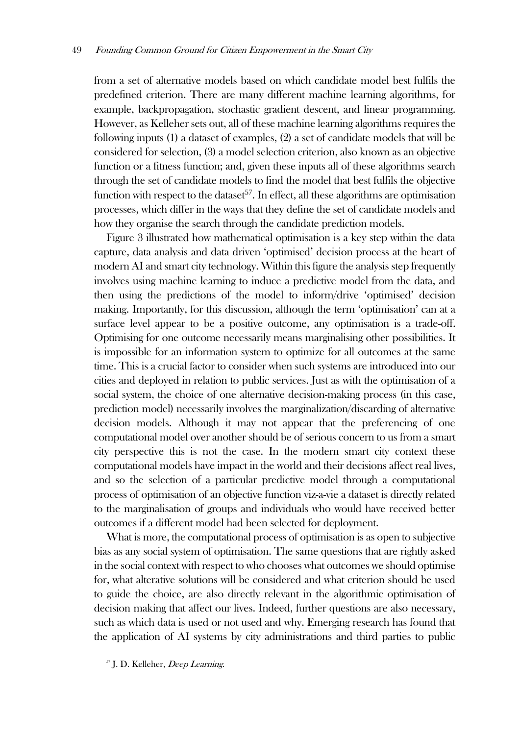from a set of alternative models based on which candidate model best fulfils the predefined criterion. There are many different machine learning algorithms, for example, backpropagation, stochastic gradient descent, and linear programming. However, as Kelleher sets out, all of these machine learning algorithms requires the following inputs (1) a dataset of examples, (2) a set of candidate models that will be considered for selection, (3) a model selection criterion, also known as an objective function or a fitness function; and, given these inputs all of these algorithms search through the set of candidate models to find the model that best fulfils the objective function with respect to the dataset<sup>57</sup>. In effect, all these algorithms are optimisation processes, which differ in the ways that they define the set of candidate models and how they organise the search through the candidate prediction models.

[Figure 3](#page-12-0) illustrated how mathematical optimisation is a key step within the data capture, data analysis and data driven 'optimised' decision process at the heart of modern AI and smart city technology. Within this figure the analysis step frequently involves using machine learning to induce a predictive model from the data, and then using the predictions of the model to inform/drive 'optimised' decision making. Importantly, for this discussion, although the term 'optimisation' can at a surface level appear to be a positive outcome, any optimisation is a trade-off. Optimising for one outcome necessarily means marginalising other possibilities. It is impossible for an information system to optimize for all outcomes at the same time. This is a crucial factor to consider when such systems are introduced into our cities and deployed in relation to public services. Just as with the optimisation of a social system, the choice of one alternative decision-making process (in this case, prediction model) necessarily involves the marginalization/discarding of alternative decision models. Although it may not appear that the preferencing of one computational model over another should be of serious concern to us from a smart city perspective this is not the case. In the modern smart city context these computational models have impact in the world and their decisions affect real lives, and so the selection of a particular predictive model through a computational process of optimisation of an objective function viz-a-vie a dataset is directly related to the marginalisation of groups and individuals who would have received better outcomes if a different model had been selected for deployment.

What is more, the computational process of optimisation is as open to subjective bias as any social system of optimisation. The same questions that are rightly asked in the social context with respect to who chooses what outcomes we should optimise for, what alterative solutions will be considered and what criterion should be used to guide the choice, are also directly relevant in the algorithmic optimisation of decision making that affect our lives. Indeed, further questions are also necessary, such as which data is used or not used and why. Emerging research has found that the application of AI systems by city administrations and third parties to public

<sup>57</sup> J. D. Kelleher, Deep Learning.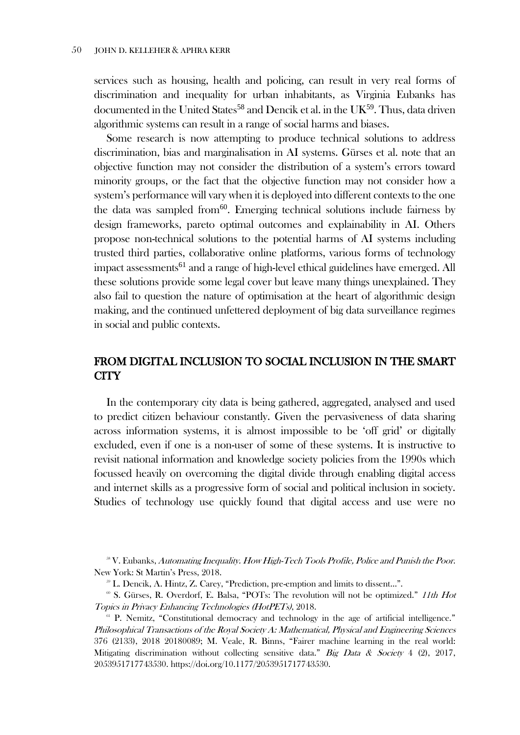services such as housing, health and policing, can result in very real forms of discrimination and inequality for urban inhabitants, as Virginia Eubanks has documented in the United States<sup>58</sup> and Dencik et al. in the UK<sup>59</sup>. Thus, data driven algorithmic systems can result in a range of social harms and biases.

Some research is now attempting to produce technical solutions to address discrimination, bias and marginalisation in AI systems. Gürses et al. note that an objective function may not consider the distribution of a system's errors toward minority groups, or the fact that the objective function may not consider how a system's performance will vary when it is deployed into different contexts to the one the data was sampled from  $60$ . Emerging technical solutions include fairness by design frameworks, pareto optimal outcomes and explainability in AI. Others propose non-technical solutions to the potential harms of AI systems including trusted third parties, collaborative online platforms, various forms of technology impact assessments<sup>61</sup> and a range of high-level ethical guidelines have emerged. All these solutions provide some legal cover but leave many things unexplained. They also fail to question the nature of optimisation at the heart of algorithmic design making, and the continued unfettered deployment of big data surveillance regimes in social and public contexts.

# FROM DIGITAL INCLUSION TO SOCIAL INCLUSION IN THE SMART CITY

In the contemporary city data is being gathered, aggregated, analysed and used to predict citizen behaviour constantly. Given the pervasiveness of data sharing across information systems, it is almost impossible to be 'off grid' or digitally excluded, even if one is a non-user of some of these systems. It is instructive to revisit national information and knowledge society policies from the 1990s which focussed heavily on overcoming the digital divide through enabling digital access and internet skills as a progressive form of social and political inclusion in society. Studies of technology use quickly found that digital access and use were no

<sup>&</sup>lt;sup>58</sup> V. Eubanks, Automating Inequality. How High-Tech Tools Profile, Police and Punish the Poor. New York: St Martin's Press, 2018.

<sup>59</sup> L. Dencik, A. Hintz, Z. Carey, "Prediction, pre-emption and limits to dissent…".

<sup>&</sup>lt;sup>60</sup> S. Gürses, R. Overdorf, E. Balsa, "POTs: The revolution will not be optimized." *11th Hot* Topics in Privacy Enhancing Technologies (HotPETs), 2018.

<sup>&</sup>lt;sup>61</sup> P. Nemitz, "Constitutional democracy and technology in the age of artificial intelligence." Philosophical Transactions of the Royal Society A: Mathematical, Physical and Engineering Sciences 376 (2133), 2018 20180089; M. Veale, R. Binns, "Fairer machine learning in the real world: Mitigating discrimination without collecting sensitive data." Big Data & Society 4 (2), 2017, 2053951717743530. https://doi.org/10.1177/2053951717743530.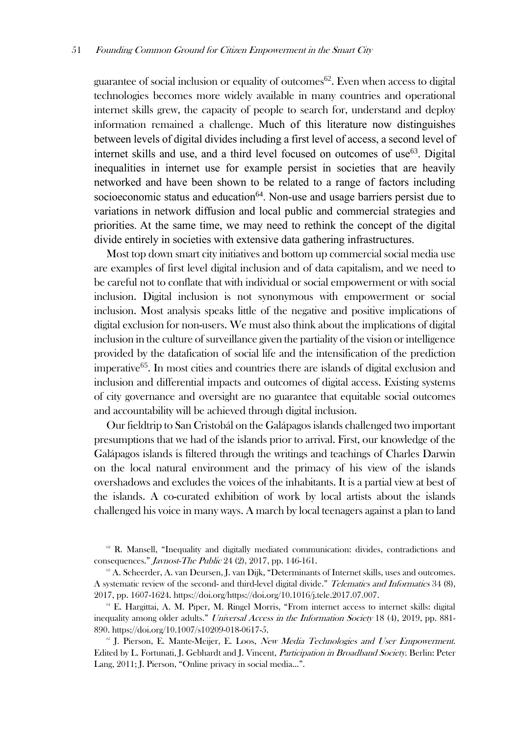guarantee of social inclusion or equality of outcomes<sup>62</sup>. Even when access to digital technologies becomes more widely available in many countries and operational internet skills grew, the capacity of people to search for, understand and deploy information remained a challenge. Much of this literature now distinguishes between levels of digital divides including a first level of access, a second level of internet skills and use, and a third level focused on outcomes of use<sup>63</sup>. Digital inequalities in internet use for example persist in societies that are heavily networked and have been shown to be related to a range of factors including socioeconomic status and education<sup>64</sup>. Non-use and usage barriers persist due to variations in network diffusion and local public and commercial strategies and priorities. At the same time, we may need to rethink the concept of the digital divide entirely in societies with extensive data gathering infrastructures.

Most top down smart city initiatives and bottom up commercial social media use are examples of first level digital inclusion and of data capitalism, and we need to be careful not to conflate that with individual or social empowerment or with social inclusion. Digital inclusion is not synonymous with empowerment or social inclusion. Most analysis speaks little of the negative and positive implications of digital exclusion for non-users. We must also think about the implications of digital inclusion in the culture of surveillance given the partiality of the vision or intelligence provided by the datafication of social life and the intensification of the prediction imperative<sup>65</sup>. In most cities and countries there are islands of digital exclusion and inclusion and differential impacts and outcomes of digital access. Existing systems of city governance and oversight are no guarantee that equitable social outcomes and accountability will be achieved through digital inclusion.

Our fieldtrip to San Cristobál on the Galápagos islands challenged two important presumptions that we had of the islands prior to arrival. First, our knowledge of the Galápagos islands is filtered through the writings and teachings of Charles Darwin on the local natural environment and the primacy of his view of the islands overshadows and excludes the voices of the inhabitants. It is a partial view at best of the islands. A co-curated exhibition of work by local artists about the islands challenged his voice in many ways. A march by local teenagers against a plan to land

 $\alpha$ <sup>8</sup> R. Mansell, "Inequality and digitally mediated communication: divides, contradictions and consequences." Javnost-The Public 24 (2), 2017, pp. 146-161.

<sup>&</sup>lt;sup>63</sup> A. Scheerder, A. van Deursen, J. van Dijk, "Determinants of Internet skills, uses and outcomes. A systematic review of the second- and third-level digital divide." Telematics and Informatics 34 (8), 2017, pp. 1607-1624. https://doi.org/https://doi.org/10.1016/j.tele.2017.07.007.

<sup>64</sup> E. Hargittai, A. M. Piper, M. Ringel Morris, "From internet access to internet skills: digital inequality among older adults." Universal Access in the Information Society 18 (4), 2019, pp. 881-890. https://doi.org/10.1007/s10209-018-0617-5.

 $65$  J. Pierson, E. Mante-Meijer, E. Loos, *New Media Technologies and User Empowerment*. Edited by L. Fortunati, J. Gebhardt and J. Vincent, Participation in Broadband Society. Berlin: Peter Lang, 2011; J. Pierson, "Online privacy in social media…".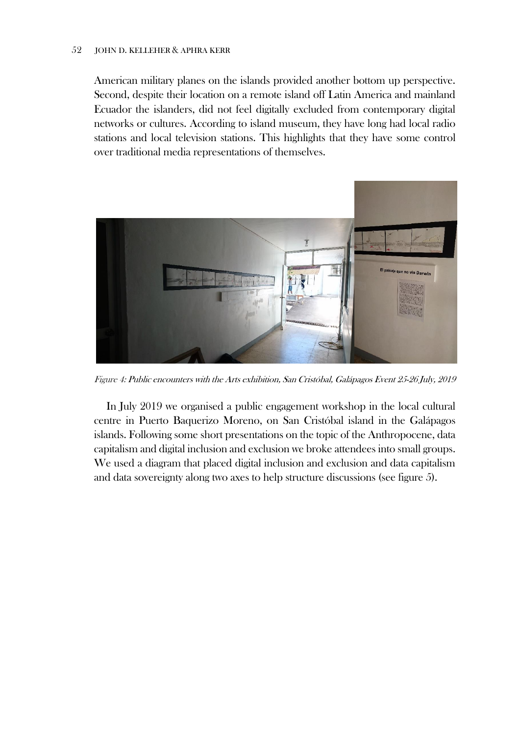#### 52 JOHN D. KELLEHER & APHRA KERR

American military planes on the islands provided another bottom up perspective. Second, despite their location on a remote island off Latin America and mainland Ecuador the islanders, did not feel digitally excluded from contemporary digital networks or cultures. According to island museum, they have long had local radio stations and local television stations. This highlights that they have some control over traditional media representations of themselves.



Figure 4: Public encounters with the Arts exhibition, San Cristóbal, Galápagos Event 25-26 July, 2019

In July 2019 we organised a public engagement workshop in the local cultural centre in Puerto Baquerizo Moreno, on San Cristóbal island in the Galápagos islands. Following some short presentations on the topic of the Anthropocene, data capitalism and digital inclusion and exclusion we broke attendees into small groups. We used a diagram that placed digital inclusion and exclusion and data capitalism and data sovereignty along two axes to help structure discussions (see figure 5).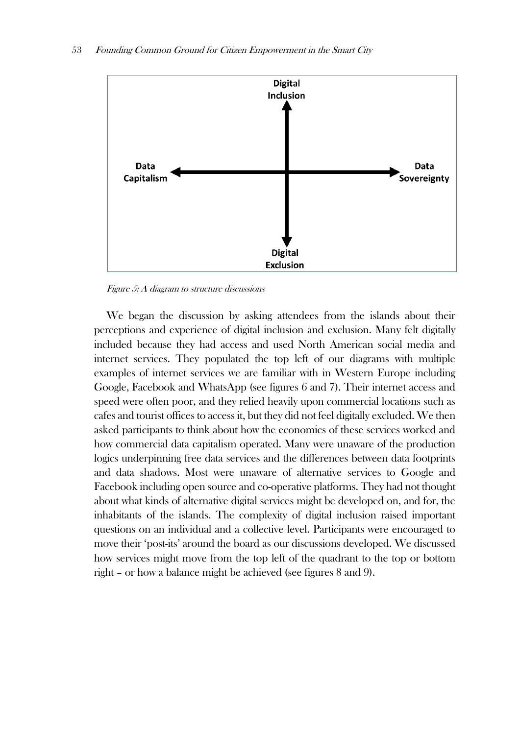

Figure 5: A diagram to structure discussions

We began the discussion by asking attendees from the islands about their perceptions and experience of digital inclusion and exclusion. Many felt digitally included because they had access and used North American social media and internet services. They populated the top left of our diagrams with multiple examples of internet services we are familiar with in Western Europe including Google, Facebook and WhatsApp (see figures 6 and 7). Their internet access and speed were often poor, and they relied heavily upon commercial locations such as cafes and tourist offices to access it, but they did not feel digitally excluded. We then asked participants to think about how the economics of these services worked and how commercial data capitalism operated. Many were unaware of the production logics underpinning free data services and the differences between data footprints and data shadows. Most were unaware of alternative services to Google and Facebook including open source and co-operative platforms. They had not thought about what kinds of alternative digital services might be developed on, and for, the inhabitants of the islands. The complexity of digital inclusion raised important questions on an individual and a collective level. Participants were encouraged to move their 'post-its' around the board as our discussions developed. We discussed how services might move from the top left of the quadrant to the top or bottom right – or how a balance might be achieved (see figures 8 and 9).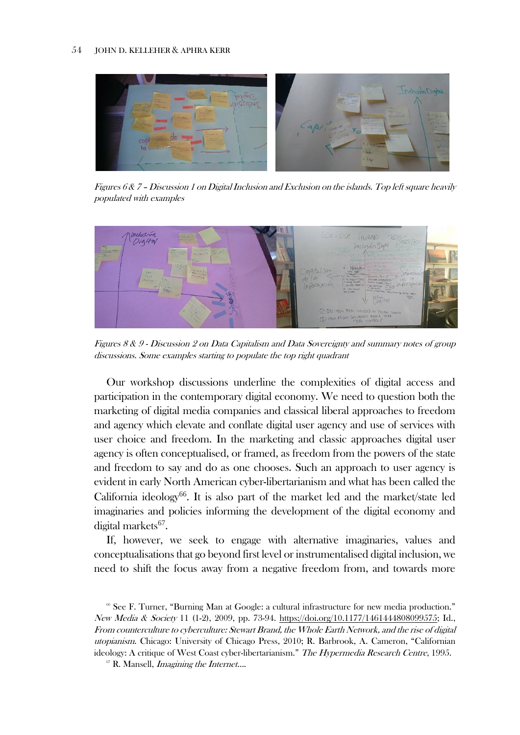

Figures 6 & 7 – Discussion 1 on Digital Inclusion and Exclusion on the islands. Top left square heavily populated with examples



Figures 8 & 9 - Discussion 2 on Data Capitalism and Data Sovereignty and summary notes of group discussions. Some examples starting to populate the top right quadrant

Our workshop discussions underline the complexities of digital access and participation in the contemporary digital economy. We need to question both the marketing of digital media companies and classical liberal approaches to freedom and agency which elevate and conflate digital user agency and use of services with user choice and freedom. In the marketing and classic approaches digital user agency is often conceptualised, or framed, as freedom from the powers of the state and freedom to say and do as one chooses. Such an approach to user agency is evident in early North American cyber-libertarianism and what has been called the California ideology<sup>66</sup>. It is also part of the market led and the market/state led imaginaries and policies informing the development of the digital economy and digital markets<sup>67</sup>.

If, however, we seek to engage with alternative imaginaries, values and conceptualisations that go beyond first level or instrumentalised digital inclusion, we need to shift the focus away from a negative freedom from, and towards more

<sup>66</sup> See F. Turner, "Burning Man at Google: a cultural infrastructure for new media production." New Media & Society 11 (1-2), 2009, pp. 73-94. [https://doi.org/10.1177/1461444808099575;](https://doi.org/10.1177/1461444808099575) Id., From counterculture to cyberculture: Stewart Brand, the Whole Earth Network, and the rise of digital utopianism. Chicago: University of Chicago Press, 2010; R. Barbrook, A. Cameron, "Californian ideology: A critique of West Coast cyber-libertarianism." The Hypermedia Research Centre, 1995.

 $67$  R. Mansell, *Imagining the Internet...*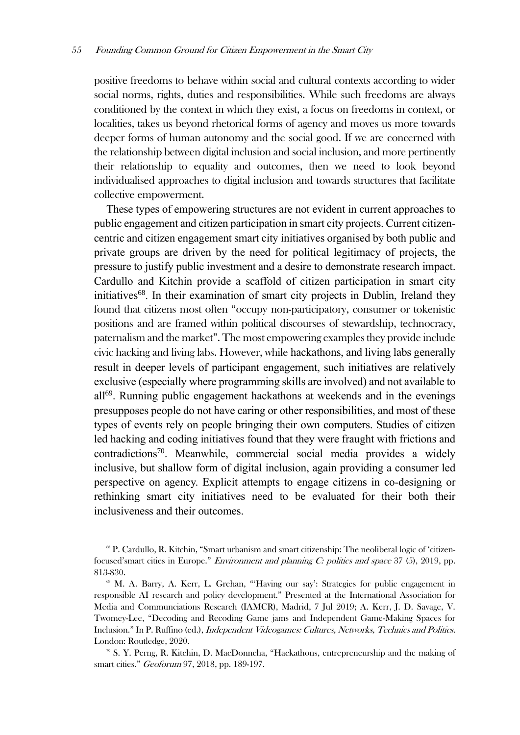positive freedoms to behave within social and cultural contexts according to wider social norms, rights, duties and responsibilities. While such freedoms are always conditioned by the context in which they exist, a focus on freedoms in context, or localities, takes us beyond rhetorical forms of agency and moves us more towards deeper forms of human autonomy and the social good. If we are concerned with the relationship between digital inclusion and social inclusion, and more pertinently their relationship to equality and outcomes, then we need to look beyond individualised approaches to digital inclusion and towards structures that facilitate collective empowerment.

These types of empowering structures are not evident in current approaches to public engagement and citizen participation in smart city projects. Current citizencentric and citizen engagement smart city initiatives organised by both public and private groups are driven by the need for political legitimacy of projects, the pressure to justify public investment and a desire to demonstrate research impact. Cardullo and Kitchin provide a scaffold of citizen participation in smart city initiatives<sup>68</sup>. In their examination of smart city projects in Dublin, Ireland they found that citizens most often "occupy non-participatory, consumer or tokenistic positions and are framed within political discourses of stewardship, technocracy, paternalism and the market". The most empowering examples they provide include civic hacking and living labs. However, while hackathons, and living labs generally result in deeper levels of participant engagement, such initiatives are relatively exclusive (especially where programming skills are involved) and not available to all<sup>69</sup>. Running public engagement hackathons at weekends and in the evenings presupposes people do not have caring or other responsibilities, and most of these types of events rely on people bringing their own computers. Studies of citizen led hacking and coding initiatives found that they were fraught with frictions and contradictions<sup>70</sup>. Meanwhile, commercial social media provides a widely inclusive, but shallow form of digital inclusion, again providing a consumer led perspective on agency. Explicit attempts to engage citizens in co-designing or rethinking smart city initiatives need to be evaluated for their both their inclusiveness and their outcomes.

<sup>68</sup> P. Cardullo, R. Kitchin, "Smart urbanism and smart citizenship: The neoliberal logic of 'citizenfocused'smart cities in Europe." Environment and planning C: politics and space 37 (5), 2019, pp. 813-830.

<sup>&</sup>lt;sup>69</sup> M. A. Barry, A. Kerr, L. Grehan, "Having our say': Strategies for public engagement in responsible AI research and policy development." Presented at the International Association for Media and Communciations Research (IAMCR), Madrid, 7 Jul 2019; A. Kerr, J. D. Savage, V. Twomey-Lee, "Decoding and Recoding Game jams and Independent Game-Making Spaces for Inclusion." In P. Ruffino (ed.), Independent Videogames: Cultures, Networks, Technics and Politics. London: Routledge, 2020.

<sup>70</sup> S. Y. Perng, R. Kitchin, D. MacDonncha, "Hackathons, entrepreneurship and the making of smart cities." Geoforum 97, 2018, pp. 189-197.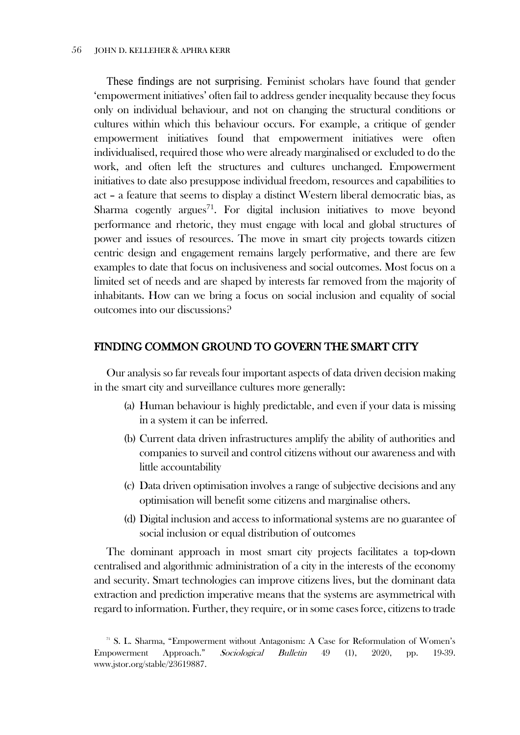These findings are not surprising. Feminist scholars have found that gender 'empowerment initiatives' often fail to address gender inequality because they focus only on individual behaviour, and not on changing the structural conditions or cultures within which this behaviour occurs. For example, a critique of gender empowerment initiatives found that empowerment initiatives were often individualised, required those who were already marginalised or excluded to do the work, and often left the structures and cultures unchanged. Empowerment initiatives to date also presuppose individual freedom, resources and capabilities to act – a feature that seems to display a distinct Western liberal democratic bias, as Sharma cogently argues<sup>71</sup>. For digital inclusion initiatives to move beyond performance and rhetoric, they must engage with local and global structures of power and issues of resources. The move in smart city projects towards citizen centric design and engagement remains largely performative, and there are few examples to date that focus on inclusiveness and social outcomes. Most focus on a limited set of needs and are shaped by interests far removed from the majority of inhabitants. How can we bring a focus on social inclusion and equality of social outcomes into our discussions?

## FINDING COMMON GROUND TO GOVERN THE SMART CITY

Our analysis so far reveals four important aspects of data driven decision making in the smart city and surveillance cultures more generally:

- (a) Human behaviour is highly predictable, and even if your data is missing in a system it can be inferred.
- (b) Current data driven infrastructures amplify the ability of authorities and companies to surveil and control citizens without our awareness and with little accountability
- (c) Data driven optimisation involves a range of subjective decisions and any optimisation will benefit some citizens and marginalise others.
- (d) Digital inclusion and access to informational systems are no guarantee of social inclusion or equal distribution of outcomes

The dominant approach in most smart city projects facilitates a top-down centralised and algorithmic administration of a city in the interests of the economy and security. Smart technologies can improve citizens lives, but the dominant data extraction and prediction imperative means that the systems are asymmetrical with regard to information. Further, they require, or in some cases force, citizens to trade

<sup>&</sup>lt;sup>71</sup> S. L. Sharma, "Empowerment without Antagonism: A Case for Reformulation of Women's Empowerment Approach." Sociological Bulletin 49 (1), 2020, pp. 19-39. www.jstor.org/stable/23619887.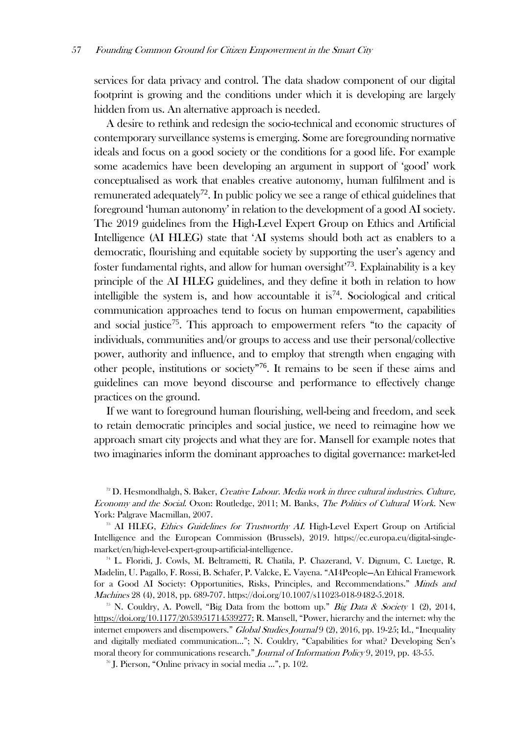services for data privacy and control. The data shadow component of our digital footprint is growing and the conditions under which it is developing are largely hidden from us. An alternative approach is needed.

A desire to rethink and redesign the socio-technical and economic structures of contemporary surveillance systems is emerging. Some are foregrounding normative ideals and focus on a good society or the conditions for a good life. For example some academics have been developing an argument in support of 'good' work conceptualised as work that enables creative autonomy, human fulfilment and is remunerated adequately<sup>72</sup>. In public policy we see a range of ethical guidelines that foreground 'human autonomy' in relation to the development of a good AI society. The 2019 guidelines from the High-Level Expert Group on Ethics and Artificial Intelligence (AI HLEG) state that 'AI systems should both act as enablers to a democratic, flourishing and equitable society by supporting the user's agency and foster fundamental rights, and allow for human oversight<sup>73</sup>. Explainability is a key principle of the AI HLEG guidelines, and they define it both in relation to how intelligible the system is, and how accountable it is<sup>74</sup>. Sociological and critical communication approaches tend to focus on human empowerment, capabilities and social justice<sup>75</sup>. This approach to empowerment refers "to the capacity of individuals, communities and/or groups to access and use their personal/collective power, authority and influence, and to employ that strength when engaging with other people, institutions or society"<sup>76</sup> . It remains to be seen if these aims and guidelines can move beyond discourse and performance to effectively change practices on the ground.

If we want to foreground human flourishing, well-being and freedom, and seek to retain democratic principles and social justice, we need to reimagine how we approach smart city projects and what they are for. Mansell for example notes that two imaginaries inform the dominant approaches to digital governance: market-led

<sup>74</sup> L. Floridi, J. Cowls, M. Beltrametti, R. Chatila, P. Chazerand, V. Dignum, C. Luetge, R. Madelin, U. Pagallo, F. Rossi, B. Schafer, P. Valcke, E. Vayena. "AI4People—An Ethical Framework for a Good AI Society: Opportunities, Risks, Principles, and Recommendations." Minds and Machines 28 (4), 2018, pp. 689-707. https://doi.org/10.1007/s11023-018-9482-5.2018.

<sup>76</sup> J. Pierson, "Online privacy in social media …", p. 102.

 $72$  D. Hesmondhalgh, S. Baker, Creative Labour. Media work in three cultural industries. Culture, Economy and the Social. Oxon: Routledge, 2011; M. Banks, The Politics of Cultural Work. New York: Palgrave Macmillan, 2007.

<sup>&</sup>lt;sup>73</sup> AI HLEG, *Ethics Guidelines for Trustworthy AI*. High-Level Expert Group on Artificial Intelligence and the European Commission (Brussels), 2019. https://ec.europa.eu/digital-singlemarket/en/high-level-expert-group-artificial-intelligence.

<sup>&</sup>lt;sup>75</sup> N. Couldry, A. Powell, "Big Data from the bottom up." *Big Data & Society* 1 (2), 2014, [https://doi.org/10.1177/2053951714539277;](https://doi.org/10.1177/2053951714539277) R. Mansell, "Power, hierarchy and the internet: why the internet empowers and disempowers." Global Studies Journal 9 (2), 2016, pp. 19-25; Id., "Inequality and digitally mediated communication…"; N. Couldry, "Capabilities for what? Developing Sen's moral theory for communications research." Journal of Information Policy 9, 2019, pp. 43-55.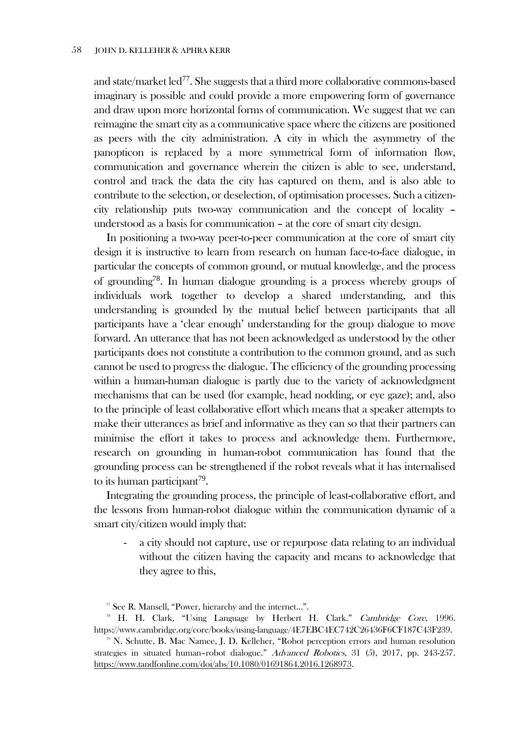and state/market led<sup>77</sup>. She suggests that a third more collaborative commons-based imaginary is possible and could provide a more empowering form of governance and draw upon more horizontal forms of communication. We suggest that we can reimagine the smart city as a communicative space where the citizens are positioned as peers with the city administration. A city in which the asymmetry of the panopticon is replaced by a more symmetrical form of information flow, communication and governance wherein the citizen is able to see, understand, control and track the data the city has captured on them, and is also able to contribute to the selection, or deselection, of optimisation processes. Such a citizencity relationship puts two-way communication and the concept of locality – understood as a basis for communication – at the core of smart city design.

In positioning a two-way peer-to-peer communication at the core of smart city design it is instructive to learn from research on human face-to-face dialogue, in particular the concepts of common ground, or mutual knowledge, and the process of grounding<sup>78</sup>. In human dialogue grounding is a process whereby groups of individuals work together to develop a shared understanding, and this understanding is grounded by the mutual belief between participants that all participants have a 'clear enough' understanding for the group dialogue to move forward. An utterance that has not been acknowledged as understood by the other participants does not constitute a contribution to the common ground, and as such cannot be used to progress the dialogue. The efficiency of the grounding processing within a human-human dialogue is partly due to the variety of acknowledgment mechanisms that can be used (for example, head nodding, or eye gaze); and, also to the principle of least collaborative effort which means that a speaker attempts to make their utterances as brief and informative as they can so that their partners can minimise the effort it takes to process and acknowledge them. Furthermore, research on grounding in human-robot communication has found that the grounding process can be strengthened if the robot reveals what it has internalised to its human participant<sup>79</sup>.

Integrating the grounding process, the principle of least-collaborative effort, and the lessons from human-robot dialogue within the communication dynamic of a smart city/citizen would imply that:

a city should not capture, use or repurpose data relating to an individual without the citizen having the capacity and means to acknowledge that they agree to this,

<sup>77</sup> See R. Mansell, "Power, hierarchy and the internet…".

<sup>&</sup>lt;sup>78</sup> H. H. Clark, "Using Language by Herbert H. Clark." Cambridge Core, 1996. https://www.cambridge.org/core/books/using-language/4E7EBC4EC742C26436F6CF187C43F239.

<sup>79</sup> N. Schutte, B. Mac Namee, J. D. Kelleher, "Robot perception errors and human resolution strategies in situated human–robot dialogue." Advanced Robotics, 31 (5), 2017, pp. 243-257. [https://www.tandfonline.com/doi/abs/10.1080/01691864.2016.1268973.](https://www.tandfonline.com/doi/abs/10.1080/01691864.2016.1268973)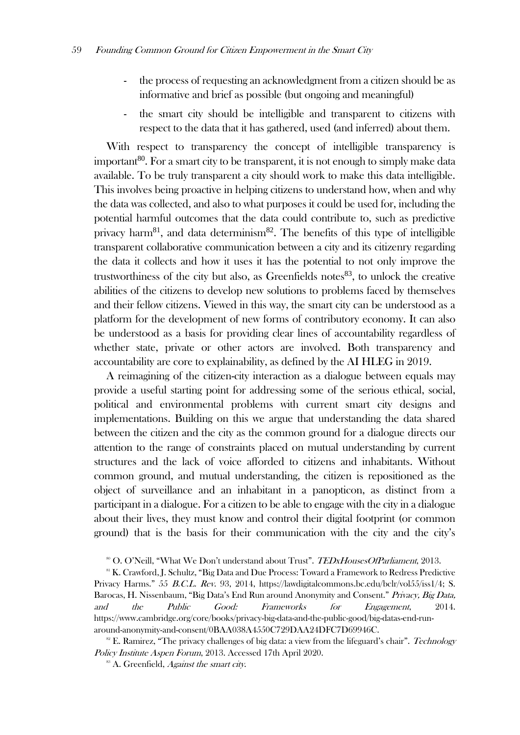- the process of requesting an acknowledgment from a citizen should be as informative and brief as possible (but ongoing and meaningful)
- the smart city should be intelligible and transparent to citizens with respect to the data that it has gathered, used (and inferred) about them.

With respect to transparency the concept of intelligible transparency is important $80$ . For a smart city to be transparent, it is not enough to simply make data available. To be truly transparent a city should work to make this data intelligible. This involves being proactive in helping citizens to understand how, when and why the data was collected, and also to what purposes it could be used for, including the potential harmful outcomes that the data could contribute to, such as predictive privacy harm<sup>81</sup>, and data determinism<sup>82</sup>. The benefits of this type of intelligible transparent collaborative communication between a city and its citizenry regarding the data it collects and how it uses it has the potential to not only improve the trustworthiness of the city but also, as Greenfields notes $^{83}$ , to unlock the creative abilities of the citizens to develop new solutions to problems faced by themselves and their fellow citizens. Viewed in this way, the smart city can be understood as a platform for the development of new forms of contributory economy. It can also be understood as a basis for providing clear lines of accountability regardless of whether state, private or other actors are involved. Both transparency and accountability are core to explainability, as defined by the AI HLEG in 2019.

A reimagining of the citizen-city interaction as a dialogue between equals may provide a useful starting point for addressing some of the serious ethical, social, political and environmental problems with current smart city designs and implementations. Building on this we argue that understanding the data shared between the citizen and the city as the common ground for a dialogue directs our attention to the range of constraints placed on mutual understanding by current structures and the lack of voice afforded to citizens and inhabitants. Without common ground, and mutual understanding, the citizen is repositioned as the object of surveillance and an inhabitant in a panopticon, as distinct from a participant in a dialogue. For a citizen to be able to engage with the city in a dialogue about their lives, they must know and control their digital footprint (or common ground) that is the basis for their communication with the city and the city's

<sup>&</sup>lt;sup>80</sup> O. O'Neill, "What We Don't understand about Trust". *TEDxHousesOfParliament*, 2013.

<sup>&</sup>lt;sup>81</sup> K. Crawford, J. Schultz, "Big Data and Due Process: Toward a Framework to Redress Predictive Privacy Harms." 55 B.C.L. Rev. 93, 2014, https://lawdigitalcommons.bc.edu/bclr/vol55/iss1/4; S. Barocas, H. Nissenbaum, "Big Data's End Run around Anonymity and Consent." Privacy, Big Data, and the Public Good: Frameworks for Engagement, 2014. https://www.cambridge.org/core/books/privacy-big-data-and-the-public-good/big-datas-end-runaround-anonymity-and-consent/0BAA038A4550C729DAA24DFC7D69946C.

<sup>&</sup>lt;sup>82</sup> E. Ramirez, "The privacy challenges of big data: a view from the lifeguard's chair". *Technology* Policy Institute Aspen Forum, 2013. Accessed 17th April 2020.

 $88$  A. Greenfield, *Against the smart city*.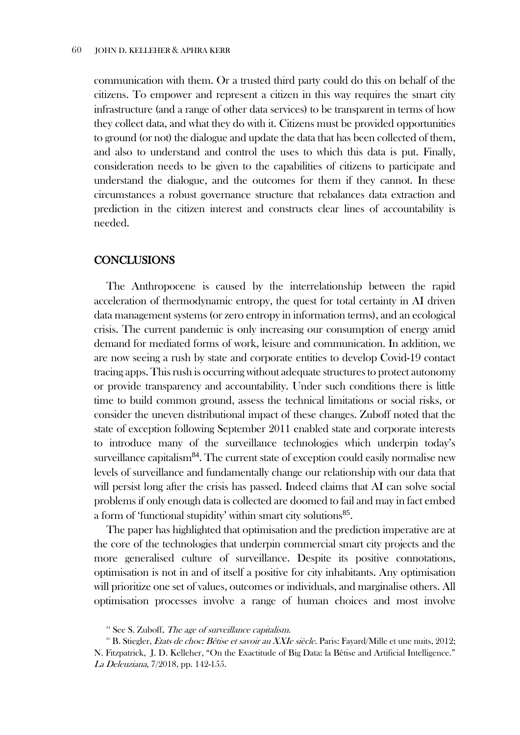communication with them. Or a trusted third party could do this on behalf of the citizens. To empower and represent a citizen in this way requires the smart city infrastructure (and a range of other data services) to be transparent in terms of how they collect data, and what they do with it. Citizens must be provided opportunities to ground (or not) the dialogue and update the data that has been collected of them, and also to understand and control the uses to which this data is put. Finally, consideration needs to be given to the capabilities of citizens to participate and understand the dialogue, and the outcomes for them if they cannot. In these circumstances a robust governance structure that rebalances data extraction and prediction in the citizen interest and constructs clear lines of accountability is needed.

## **CONCLUSIONS**

The Anthropocene is caused by the interrelationship between the rapid acceleration of thermodynamic entropy, the quest for total certainty in AI driven data management systems (or zero entropy in information terms), and an ecological crisis. The current pandemic is only increasing our consumption of energy amid demand for mediated forms of work, leisure and communication. In addition, we are now seeing a rush by state and corporate entities to develop Covid-19 contact tracing apps. This rush is occurring without adequate structures to protect autonomy or provide transparency and accountability. Under such conditions there is little time to build common ground, assess the technical limitations or social risks, or consider the uneven distributional impact of these changes. Zuboff noted that the state of exception following September 2011 enabled state and corporate interests to introduce many of the surveillance technologies which underpin today's surveillance capitalism $84$ . The current state of exception could easily normalise new levels of surveillance and fundamentally change our relationship with our data that will persist long after the crisis has passed. Indeed claims that AI can solve social problems if only enough data is collected are doomed to fail and may in fact embed a form of 'functional stupidity' within smart city solutions<sup>85</sup>.

The paper has highlighted that optimisation and the prediction imperative are at the core of the technologies that underpin commercial smart city projects and the more generalised culture of surveillance. Despite its positive connotations, optimisation is not in and of itself a positive for city inhabitants. Any optimisation will prioritize one set of values, outcomes or individuals, and marginalise others. All optimisation processes involve a range of human choices and most involve

 $84$  See S. Zuboff, *The age of surveillance capitalism*.

<sup>&</sup>lt;sup>85</sup> B. Stiegler, *Etats de choc: Bêtise et savoir au XXIe siècle*. Paris: Fayard/Mille et une nuits, 2012; N. Fitzpatrick, J. D. Kelleher, "On the Exactitude of Big Data: la Bêtise and Artificial Intelligence." La Deleuziana, 7/2018, pp. 142-155.